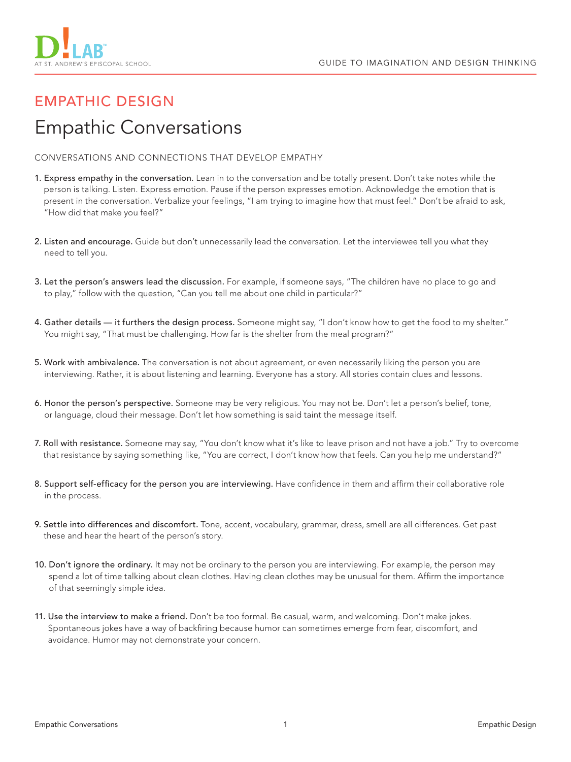

## EMPATHIC DESIGN Empathic Conversations

CONVERSATIONS AND CONNECTIONS THAT DEVELOP EMPATHY

- 1. Express empathy in the conversation. Lean in to the conversation and be totally present. Don't take notes while the person is talking. Listen. Express emotion. Pause if the person expresses emotion. Acknowledge the emotion that is present in the conversation. Verbalize your feelings, "I am trying to imagine how that must feel." Don't be afraid to ask, "How did that make you feel?"
- 2. Listen and encourage. Guide but don't unnecessarily lead the conversation. Let the interviewee tell you what they need to tell you.
- 3. Let the person's answers lead the discussion. For example, if someone says, "The children have no place to go and to play," follow with the question, "Can you tell me about one child in particular?"
- 4. Gather details it furthers the design process. Someone might say, "I don't know how to get the food to my shelter." You might say, "That must be challenging. How far is the shelter from the meal program?"
- 5. Work with ambivalence. The conversation is not about agreement, or even necessarily liking the person you are interviewing. Rather, it is about listening and learning. Everyone has a story. All stories contain clues and lessons.
- 6. Honor the person's perspective. Someone may be very religious. You may not be. Don't let a person's belief, tone, or language, cloud their message. Don't let how something is said taint the message itself.
- 7. Roll with resistance. Someone may say, "You don't know what it's like to leave prison and not have a job." Try to overcome that resistance by saying something like, "You are correct, I don't know how that feels. Can you help me understand?"
- 8. Support self-efficacy for the person you are interviewing. Have confidence in them and affirm their collaborative role in the process.
- 9. Settle into differences and discomfort. Tone, accent, vocabulary, grammar, dress, smell are all differences. Get past these and hear the heart of the person's story.
- 10. Don't ignore the ordinary. It may not be ordinary to the person you are interviewing. For example, the person may spend a lot of time talking about clean clothes. Having clean clothes may be unusual for them. Affirm the importance of that seemingly simple idea.
- 11. Use the interview to make a friend. Don't be too formal. Be casual, warm, and welcoming. Don't make jokes. Spontaneous jokes have a way of backfiring because humor can sometimes emerge from fear, discomfort, and avoidance. Humor may not demonstrate your concern.